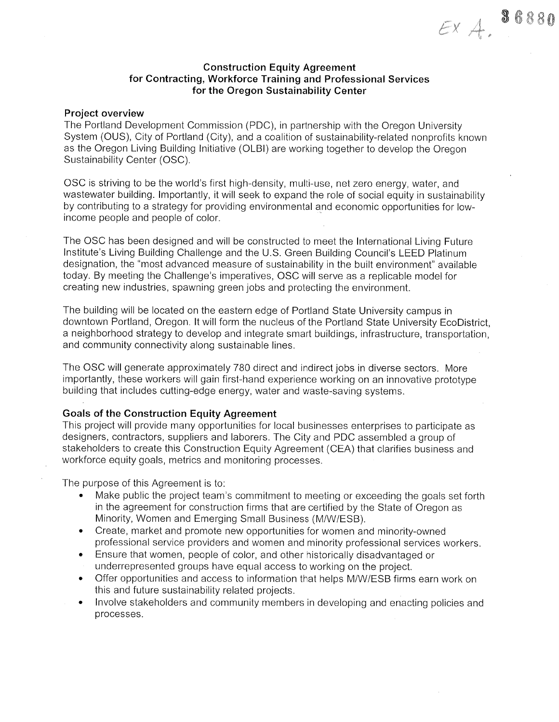## **Construction Equity Agreement** for Contracting, Workforce Training and Professional Services for the Oregon Sustainability Center

 $EXA.$  86880

### **Project overview**

The Portland Development Commission (PDC), in partnership with the Oregon University System (OUS), City of Portland (City), and a coalition of sustainability-related nonprofits known as the Oregon Living Building Initiative (OLBI) are working together to develop the Oregon Sustainability Center (OSC).

OSC is striving to be the world's first high-density, multi-use, net zero energy, water, and wastewater building. Importantly, it will seek to expand the role of social equity in sustainability by contributing to a strategy for providing environmental and economic opportunities for lowincome people and people of color.

The OSC has been designed and will be constructed to meet the International Living Future Institute's Living Building Challenge and the U.S. Green Building Council's LEED Platinum designation, the "most advanced measure of sustainability in the built environment" available today. By meeting the Challenge's imperatives, OSC will serve as a replicable model for creating new industries, spawning green jobs and protecting the environment.

The building will be located on the eastern edge of Portland State University campus in downtown Portland, Oregon. It will form the nucleus of the Portland State University EcoDistrict. a neighborhood strategy to develop and integrate smart buildings, infrastructure, transportation, and community connectivity along sustainable lines.

The OSC will generate approximately 780 direct and indirect jobs in diverse sectors. More importantly, these workers will gain first-hand experience working on an innovative prototype building that includes cutting-edge energy, water and waste-saving systems.

### **Goals of the Construction Equity Agreement**

This project will provide many opportunities for local businesses enterprises to participate as designers, contractors, suppliers and laborers. The City and PDC assembled a group of stakeholders to create this Construction Equity Agreement (CEA) that clarifies business and workforce equity goals, metrics and monitoring processes.

The purpose of this Agreement is to:

- Make public the project team's commitment to meeting or exceeding the goals set forth in the agreement for construction firms that are certified by the State of Oregon as Minority, Women and Emerging Small Business (M/W/ESB).
- Create, market and promote new opportunities for women and minority-owned  $\bullet$ professional service providers and women and minority professional services workers.
- Ensure that women, people of color, and other historically disadvantaged or  $\bullet$ underrepresented groups have equal access to working on the project.
- Offer opportunities and access to information that helps M/W/ESB firms earn work on  $\bullet$ this and future sustainability related projects.
- Involve stakeholders and community members in developing and enacting policies and  $\bullet$ processes.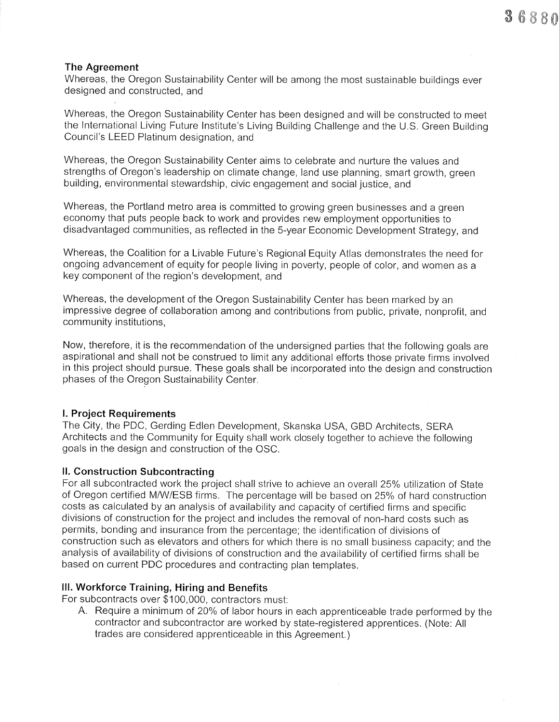# The Agreement

Whereas, the Oregon Sustainability Center will be among ihe most sustainable buildings ever designed and constructed, and

Whereas, the Oregon Sustainability Center has been designed and will be constructed to meet the lnternational Living Future lnstitute's Living Building Challenge and the U.S. Green Building Council's LEED Platinum designation, and

Whereas, the Oregon Sustainability Center aims to celebrate and nurture the values and strengths of Oregon's leadership on climate change, land use planning, smart growth, green building, environmental stewardship, civic engagement and social justice, and

Whereas, the Portland metro area is committed to growing green businesses and a green economy that puts people back to work and provides new employment opportunities to disadvantaged communities, as reflected in the 5-year Economic Development Strategy, and

Whereas, the Coalition for a Livable Future's Regional Equity Atlas demonstrates the need for ongoing advancement of equity for people living in poverty, people of color, and women as a key component of the region's development, and

Whereas, the development of the Oregon Sustainability Center has been marked by an impressive degree of collaboration among and contributions from public, private, nonprofit, and community institutions,

Now, therefore, it is the recommendation of the undersigned parties that the following goals are aspirational and shall not be construed to limit any additional efforts those private firms involved in this project should pursue. These goals shall be incorporated into the design and construction phases of the Oregon Sustainability Center.

## l. Project Requirements

The City, the PDC, Gerding Edlen Development, Skanska USA, GBD Architects, SERA Architects and the Community for Equity shall work closely together to achieve the following goals in the design and construction of the OSC.

## ll. Construction Subcontracting

For all subcontracted work the project shall strive to achieve an overall 25% utilization of State of Oregon certified M/W/ESB firms. The percentage will be based on 25% of hard construction costs as calculated by an analysis of availability and capacity of certified firms and specific divisions of construction for the project and includes the removal of non-hard costs such as permits, bonding and insurance from the percentage; the identification of divisions of construction such as elevators and others for which there is no small business capacity; and the analysis of availability of divisions of construction and the availability of certified firms shall be based on current PDC procedures and contracting plan templates.

III. Workforce Training, Hiring and Benefits<br>For subcontracts over \$100,000, contractors must:

A. Require a minimum of 20% of labor hours in each apprenticeable trade performed by the contractor and subcontractor are worked by state-registered apprentices. (Note: All trades are considered apprenticeable in this Agreement.)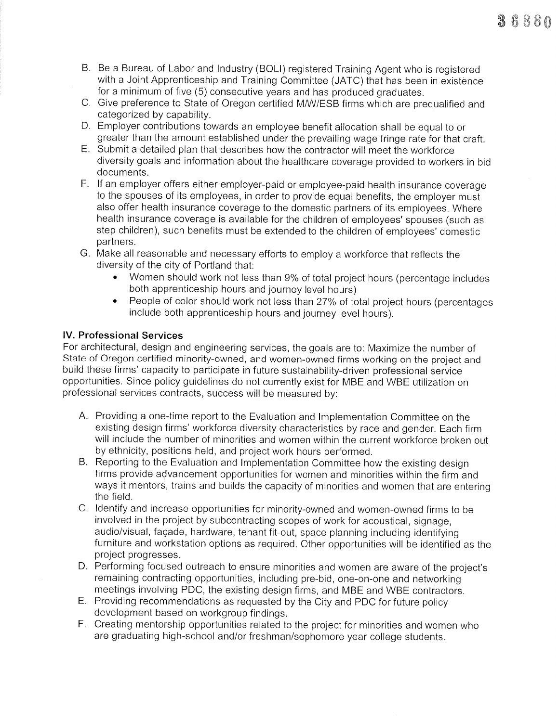- B. Be a Bureau of Labor and Industry (BOLI) registered Training Agent who is registered with a Joint Apprenticeship and Training Committee (JATC) that has been in existence for a minimum of five (5) consecutive years and has produced graduates.
- C. Give preference to State of Oregon certified M/W/ESB firms which are prequalified and categorized by capability.
- D. Employer contributions towards an employee benefit allocation shall be equal to or
- E. Submit a detailed plan that describes how the contractor will meet the workforce diversity goals and information about the healthcare coverage provided to workers in bid documents.
- F. lf an employer offers either employer-paid or employee-paid health insurance coverage to the spouses of its employees, in order to provide equal benefits, the employer must also offer health insurance coverage to the domestic partners of its employees. Where health insurance coverage is available for the children of employees' spouses (such as step children), such benefits must be extended to the children of employees' domestic partners.
- G. Make all reasonable and necessary efforts to employ a workforce that reflects the diversity of the city of Portland that:
	- . Women should work not less than 9% of total project hours (percentage includes both apprenticeship hours and journey level hours)
	- People of color should work not less than 27% of total project hours (percentages include both apprenticeship hours and journey level hours).

# lV. Professional Services

For architectural, design and engineering services, the goals are to: Maximize the number of State of Oregon certified minority-owned, and women-owned firms working on the project and build these firms' capacity to participate in future sustainability-driven professional service opportunities. Since policy guidelines do not currently exist for MBE and WBE utilization on professional services contracts, success will be measured by:

- A. Providing a one-time report to the Evaluation and lmplementation Committee on the existing design firms' workforce diversity characteristics by race and gender. Each firm will include the number of minorities and women within the current workforce broken out by ethnicity, positions held, and project work hours performed. B. Reporting to the Evaluation and lmplementation Committee how the existing design
- firms provide advancement opportunities for women and minorities within the firm and ways it mentors, trains and builds the capacity of minorities and women that are entering the field.
- C. ldentify and increase opportunities for minority-owned and women-owned firms to be involved in the project by subcontracting scopes of work for acoustical, signage, audio/visual, façade, hardware, tenant fit-out, space planning including identifying furniture and workstation options as required. Other opportunities will be identified as the project progresses.
- D. Performing focused outreach to ensure minorities and women are aware of the project's remaining contracting opportunities, including pre-bid, one-on-one and networking meetings involving PDC, the existing design firms, and MBE and WBE contractors.
- E. Providing recommendations as requested by the City and PDC for future policy development based on workgroup findings.
- F. Creating mentorship opportunities related to the project for minorities and women who are graduating high-school and/or freshman/sophomore year college students.

 ${\bf \textcolor{red}{\hat{3}}\, \textcolor{red}{\hat{6}}\, \textcolor{red}{8}\, \textcolor{red}{8}\, \textcolor{red}{8}\, \textcolor{red}{6}}$